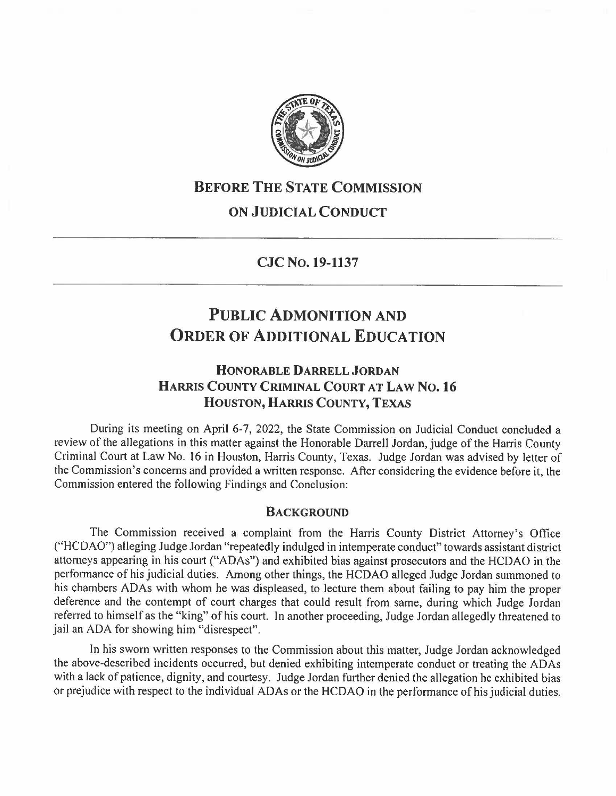

## **BEFORE THE STATE COMMISSION**

## **ON JUDICIAL CONDUCT**

**CJC No. 19-1137** 

# **PUBLIC ADMONITION AND ORDER OF ADDITIONAL EDUCATION**

## **HONORABLE DARRELL JORDAN HARRIS COUNTY CRIMINAL COURT AT LAW No.16 HOUSTON, HARRIS COUNTY, TEXAS**

During its meeting on April 6-7, 2022, the State Commission on Judicial Conduct concluded a review of the allegations in this matter against the Honorable Darrell Jordan, judge of the Harris County Criminal Court at Law No. 16 in Houston, Harris County, Texas. Judge Jordan was advised by letter of the Commission's concerns and provided a written response. After considering the evidence before it, the Commission entered the following Findings and Conclusion:

#### **BACKGROUND**

The Commission received a complaint from the Harris County District Attorney's Office ("HCDAO") alleging Judge Jordan "repeatedly indulged in intemperate conduct" towards assistant district attorneys appearing in his court ("ADAs") and exhibited bias against prosecutors and the HCDAO in the performance of his judicial duties. Among other things, the HCDAO alleged Judge Jordan summoned to his chambers ADAs with whom he was displeased, to lecture them about failing to pay him the proper deference and the contempt of court charges that could result from same, during which Judge Jordan referred to himself as the "king" of his court. In another proceeding, Judge Jordan allegedly threatened to jail an ADA for showing him "disrespect".

In his sworn written responses to the Commission about this matter, Judge Jordan acknowledged the above-described incidents occurred, but denied exhibiting intemperate conduct or treating the ADAs with a lack of patience, dignity, and courtesy. Judge Jordan further denied the allegation he exhibited bias or prejudice with respect to the individual AD As or the HCDAO in the performance of his judicial duties.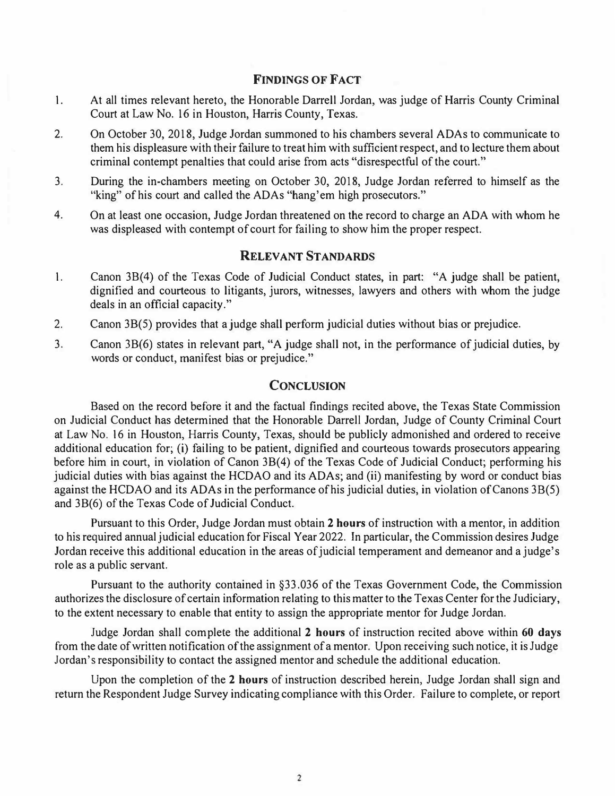#### **FINDINGS OF FACT**

- 1. At all times relevant hereto, the Honorable Darrell Jordan, was judge of Harris County Criminal Court at Law No. 16 in Houston, Harris County, Texas.
- 2.On October 30, 2018, Judge Jordan summoned to his chambers several ADAs to communicate to them his displeasure with their failure to treat him with sufficient respect, and to lecture them about criminal contempt penalties that could arise from acts "disrespectful of the court."
- 3. During the in-chambers meeting on October 30, 2018, Judge Jordan referred to himself as the "king" of his court and called the ADAs "hang'em high prosecutors."
- 4. On at least one occasion, Judge Jordan threatened on the record to charge an ADA with whom he was displeased with contempt of court for failing to show him the proper respect.

### **RELEVANT STANDARDS**

- 1. Canon 3B(4) of the Texas Code of Judicial Conduct states, in part: "A judge shall be patient, dignified and courteous to litigants, jurors, witnesses, lawyers and others with whom the judge deals in an official capacity."
- 2. Canon 3B(5) provides that a judge shall perform judicial duties without bias or prejudice.
- 3. Canon 38(6) states in relevant part, "A judge shall not, in the performance of judicial duties, by words or conduct, manifest bias or prejudice."

#### **CONCLUSION**

Based on the record before it and the factual findings recited above, the Texas State Commission on Judicial Conduct has determined that the Honorable Darrell Jordan, Judge of County Criminal Court at Law No. 16 in Houston, Harris County, Texas, should be publicly admonished and ordered to receive additional education for; (i) failing to be patient, dignified and courteous towards prosecutors appearing before him in court, in violation of Canon 3B(4) of the Texas Code of Judicial Conduct; performing his judicial duties with bias against the HCDAO and its ADAs; and (ii) manifesting by word or conduct bias against the HCDAO and its ADAs in the performance of his judicial duties, in violation of Canons 3B(5) and 3B(6) of the Texas Code of Judicial Conduct.

Pursuant to this Order, Judge Jordan must obtain **2 hours** of instruction with a mentor, in addition to his required annual judicial education for Fiscal Year 2022. In particular, the Commission desires Judge Jordan receive this additional education in the areas of judicial temperament and demeanor and a judge's role as a public servant.

Pursuant to the authority contained in §33.036 of the Texas Government Code, the Commission authorizes the disclosure of certain information relating to this matter to the Texas Center for the Judiciary, to the extent necessary to enable that entity to assign the appropriate mentor for Judge Jordan.

Judge Jordan shall complete the additional **2 hours** of instruction recited above within **60 days**  from the date of written notification of the assignment of a mentor. Upon receiving such notice, it is Judge Jordan's responsibility to contact the assigned mentor and schedule the additional education.

Upon the completion of the 2 **hours** of instruction described herein, Judge Jordan shall sign and return the Respondent Judge Survey indicating compliance with this Order. Failure to complete, or report